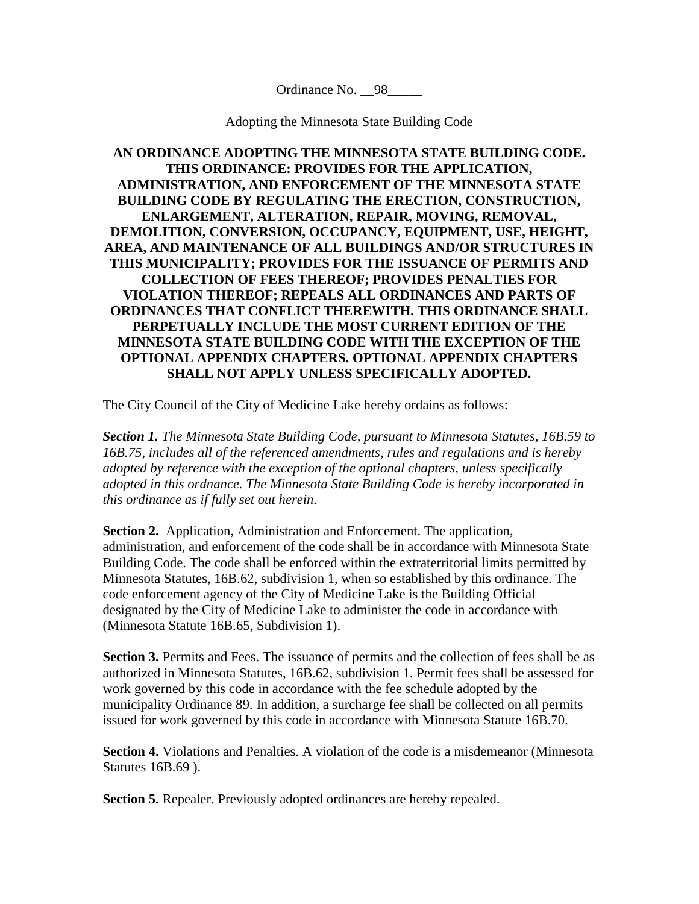Ordinance No. 98

Adopting the Minnesota State Building Code

**AN ORDINANCE ADOPTING THE MINNESOTA STATE BUILDING CODE. THIS ORDINANCE: PROVIDES FOR THE APPLICATION, ADMINISTRATION, AND ENFORCEMENT OF THE MINNESOTA STATE BUILDING CODE BY REGULATING THE ERECTION, CONSTRUCTION, ENLARGEMENT, ALTERATION, REPAIR, MOVING, REMOVAL, DEMOLITION, CONVERSION, OCCUPANCY, EQUIPMENT, USE, HEIGHT, AREA, AND MAINTENANCE OF ALL BUILDINGS AND/OR STRUCTURES IN THIS MUNICIPALITY; PROVIDES FOR THE ISSUANCE OF PERMITS AND COLLECTION OF FEES THEREOF; PROVIDES PENALTIES FOR VIOLATION THEREOF; REPEALS ALL ORDINANCES AND PARTS OF ORDINANCES THAT CONFLICT THEREWITH. THIS ORDINANCE SHALL PERPETUALLY INCLUDE THE MOST CURRENT EDITION OF THE MINNESOTA STATE BUILDING CODE WITH THE EXCEPTION OF THE OPTIONAL APPENDIX CHAPTERS. OPTIONAL APPENDIX CHAPTERS SHALL NOT APPLY UNLESS SPECIFICALLY ADOPTED.**

The City Council of the City of Medicine Lake hereby ordains as follows:

*Section 1. The Minnesota State Building Code, pursuant to Minnesota Statutes, 16B.59 to 16B.75, includes all of the referenced amendments, rules and regulations and is hereby adopted by reference with the exception of the optional chapters, unless specifically adopted in this ordnance. The Minnesota State Building Code is hereby incorporated in this ordinance as if fully set out herein.*

**Section 2.** Application, Administration and Enforcement. The application, administration, and enforcement of the code shall be in accordance with Minnesota State Building Code. The code shall be enforced within the extraterritorial limits permitted by Minnesota Statutes, 16B.62, subdivision 1, when so established by this ordinance. The code enforcement agency of the City of Medicine Lake is the Building Official designated by the City of Medicine Lake to administer the code in accordance with (Minnesota Statute 16B.65, Subdivision 1).

**Section 3.** Permits and Fees. The issuance of permits and the collection of fees shall be as authorized in Minnesota Statutes, 16B.62, subdivision 1. Permit fees shall be assessed for work governed by this code in accordance with the fee schedule adopted by the municipality Ordinance 89. In addition, a surcharge fee shall be collected on all permits issued for work governed by this code in accordance with Minnesota Statute 16B.70.

**Section 4.** Violations and Penalties. A violation of the code is a misdemeanor (Minnesota Statutes 16B.69 ).

**Section 5.** Repealer. Previously adopted ordinances are hereby repealed.